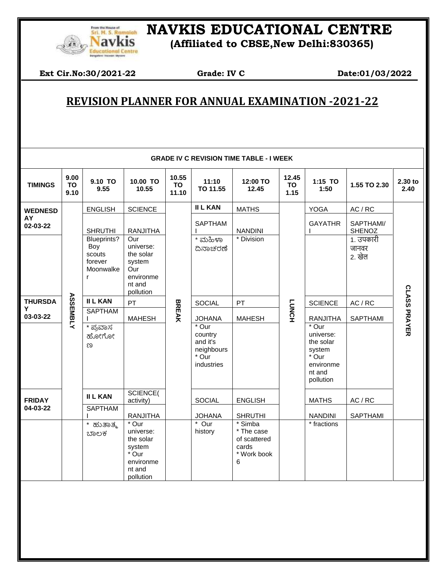

## *ELE Remetah* NAVKIS EDUCATIONAL CENTRE

**Navkis** (Affiliated to CBSE, New Delhi:830365)

**Ext Cir.No:30/2021-22** Grade: **IV C** Date:01/03/2022

 $\overline{\phantom{a}}$ 

## **REVISION PLANNER FOR ANNUAL EXAMINATION -2021-22**

|                | 9.00              | 9.10 TO                                                   | 10.00 TO                                                                               | 10.55              | 11:10                                                             | <b>GRADE IV C REVISION TIME TABLE - I WEEK</b><br>12:00 TO         | 12.45        | 1:15 TO                                                                                |                              | 2.30 to             |
|----------------|-------------------|-----------------------------------------------------------|----------------------------------------------------------------------------------------|--------------------|-------------------------------------------------------------------|--------------------------------------------------------------------|--------------|----------------------------------------------------------------------------------------|------------------------------|---------------------|
| <b>TIMINGS</b> | <b>TO</b><br>9.10 | 9.55                                                      | 10.55                                                                                  | <b>TO</b><br>11.10 | TO 11.55                                                          | 12.45                                                              | TO<br>1.15   | 1:50                                                                                   | 1.55 TO 2.30                 | 2.40                |
| <b>WEDNESD</b> |                   | <b>ENGLISH</b>                                            | <b>SCIENCE</b>                                                                         |                    | <b>II L KAN</b>                                                   | <b>MATHS</b>                                                       |              | <b>YOGA</b>                                                                            | AC / RC                      |                     |
| AY<br>02-03-22 |                   | <b>SHRUTHI</b>                                            | <b>RANJITHA</b>                                                                        |                    | <b>SAPTHAM</b>                                                    | <b>NANDINI</b>                                                     | <b>LUNCH</b> | <b>GAYATHR</b>                                                                         | SAPTHAMI/<br><b>SHENOZ</b>   | <b>CLASS PRAYER</b> |
|                |                   | Blueprints?<br>Boy<br>scouts<br>forever<br>Moonwalke<br>r | Our<br>universe:<br>the solar<br>system<br>Our<br>environme<br>nt and<br>pollution     | <b>BREAK</b>       | * ಮಹಿಳಾ<br>ದಿನಾಚರಣೆ                                               | * Division                                                         |              |                                                                                        | 1. उपकारी<br>जानवर<br>2. खेल |                     |
| <b>THURSDA</b> |                   | <b>II L KAN</b>                                           | PT                                                                                     |                    | <b>SOCIAL</b>                                                     | PT                                                                 |              | <b>SCIENCE</b>                                                                         | AC / RC                      |                     |
| Y<br>03-03-22  | <b>ASSEMBLY</b>   | <b>SAPTHAM</b>                                            | <b>MAHESH</b>                                                                          |                    | <b>JOHANA</b>                                                     | <b>MAHESH</b>                                                      |              | <b>RANJITHA</b>                                                                        | SAPTHAMI                     |                     |
|                |                   | * ಪುವಾಸ<br>ಹೋಗೋ<br>ಣ                                      |                                                                                        |                    | * Our<br>country<br>and it's<br>neighbours<br>* Our<br>industries |                                                                    |              | * Our<br>universe:<br>the solar<br>system<br>* Our<br>environme<br>nt and<br>pollution |                              |                     |
| <b>FRIDAY</b>  |                   | <b>II L KAN</b>                                           | SCIENCE(<br>activity)                                                                  |                    | <b>SOCIAL</b>                                                     | <b>ENGLISH</b>                                                     |              | <b>MATHS</b>                                                                           | AC / RC                      |                     |
| 04-03-22       |                   | SAPTHAM                                                   | <b>RANJITHA</b>                                                                        |                    | <b>JOHANA</b>                                                     | <b>SHRUTHI</b>                                                     |              | <b>NANDINI</b>                                                                         | SAPTHAMI                     |                     |
|                |                   | $\star$<br>ಹುತಾತ್ಮ<br>ಬಾಲಕ                                | * Our<br>universe:<br>the solar<br>system<br>* Our<br>environme<br>nt and<br>pollution |                    | * Our<br>history                                                  | * Simba<br>* The case<br>of scattered<br>cards<br>* Work book<br>6 |              | * fractions                                                                            |                              |                     |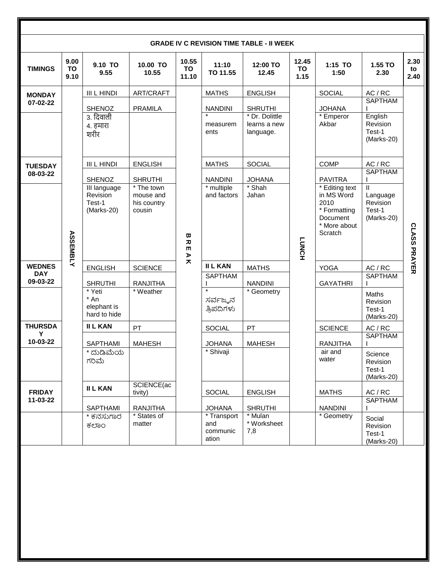| <b>GRADE IV C REVISION TIME TABLE - II WEEK</b> |                    |                                                                                                                                             |                             |                      |                                         |                                                                                                    |                                                   |                                |                                             |                    |
|-------------------------------------------------|--------------------|---------------------------------------------------------------------------------------------------------------------------------------------|-----------------------------|----------------------|-----------------------------------------|----------------------------------------------------------------------------------------------------|---------------------------------------------------|--------------------------------|---------------------------------------------|--------------------|
| <b>TIMINGS</b>                                  | 9.00<br>TO<br>9.10 | 9.10 TO<br>9.55                                                                                                                             | 10.00 TO<br>10.55           | 10.55<br>TO<br>11.10 | 11:10<br>TO 11.55                       | 12:00 TO<br>12.45                                                                                  | 12.45<br>TO<br>1.15                               | 1:15 TO<br>1:50                | 1.55 TO<br>2.30                             | 2.30<br>to<br>2.40 |
| <b>MONDAY</b><br>07-02-22                       |                    | <b>III L HINDI</b><br><b>SHENOZ</b>                                                                                                         | ART/CRAFT<br><b>PRAMILA</b> |                      | <b>MATHS</b><br><b>NANDINI</b>          | <b>ENGLISH</b><br><b>SHRUTHI</b>                                                                   |                                                   | <b>SOCIAL</b><br><b>JOHANA</b> | AC / RC<br><b>SAPTHAM</b>                   |                    |
|                                                 |                    | 3. दिवाली<br>4. हमारा<br>शरीर                                                                                                               |                             |                      | measurem<br>ents                        | * Dr. Dolittle<br>learns a new<br>language.                                                        |                                                   | * Emperor<br>Akbar             | English<br>Revision<br>Test-1<br>(Marks-20) |                    |
| <b>TUESDAY</b>                                  |                    | <b>III L HINDI</b>                                                                                                                          | <b>ENGLISH</b>              |                      | <b>MATHS</b>                            | <b>SOCIAL</b>                                                                                      |                                                   | <b>COMP</b>                    | AC / RC                                     |                    |
| 08-03-22                                        |                    | <b>SHENOZ</b>                                                                                                                               | <b>SHRUTHI</b>              |                      | <b>NANDINI</b>                          | <b>JOHANA</b>                                                                                      |                                                   | <b>PAVITRA</b>                 | <b>SAPTHAM</b>                              |                    |
|                                                 |                    | * The town<br>III language<br>Revision<br>mouse and<br>Test-1<br>his country<br>(Marks-20)<br>cousin<br><b>ASSEMBLY</b><br>ω<br>ᅎ<br>m<br>⋗ | * multiple<br>and factors   | * Shah<br>Jahan      | <b>LUNCH</b>                            | * Editing text<br>in MS Word<br>2010<br>* Formatting<br><b>Document</b><br>* More about<br>Scratch | Ш<br>Language<br>Revision<br>Test-1<br>(Marks-20) | <b>CLASS PRAYER</b>            |                                             |                    |
| <b>WEDNES</b>                                   |                    | <b>ENGLISH</b>                                                                                                                              | <b>SCIENCE</b>              | ᄎ                    | <b>II L KAN</b>                         | <b>MATHS</b>                                                                                       |                                                   | <b>YOGA</b>                    | AC / RC                                     |                    |
| <b>DAY</b><br>09-03-22                          |                    | <b>SHRUTHI</b>                                                                                                                              | <b>RANJITHA</b>             |                      | <b>SAPTHAM</b>                          | <b>NANDINI</b>                                                                                     |                                                   | <b>GAYATHRI</b>                | SAPTHAM                                     |                    |
|                                                 |                    | * Yeti<br>* An<br>elephant is<br>hard to hide                                                                                               | * Weather                   |                      | $\star$<br>ಸರ್ವಜ್ಞನ<br>ತ್ರಿಪದಿಗಳು       | * Geometry                                                                                         |                                                   |                                | Maths<br>Revision<br>Test-1<br>$(Marks-20)$ |                    |
| <b>THURSDA</b><br>Υ                             |                    | <b>II L KAN</b>                                                                                                                             | PT                          |                      | SOCIAL                                  | PT                                                                                                 |                                                   | <b>SCIENCE</b>                 | AC / RC                                     |                    |
| 10-03-22                                        |                    | SAPTHAMI                                                                                                                                    | <b>MAHESH</b>               |                      | <b>JOHANA</b>                           | <b>MAHESH</b>                                                                                      |                                                   | <b>RANJITHA</b>                | <b>SAPTHAM</b>                              |                    |
|                                                 |                    | * ದುಡಿಮೆಯ<br>ಗರಿಮೆ                                                                                                                          |                             |                      | * Shivaji                               |                                                                                                    |                                                   | air and<br>water               | Science<br>Revision<br>Test-1<br>(Marks-20) |                    |
| <b>FRIDAY</b>                                   |                    | <b>II L KAN</b>                                                                                                                             | SCIENCE(ac<br>tivity)       |                      | SOCIAL                                  | <b>ENGLISH</b>                                                                                     |                                                   | <b>MATHS</b>                   | AC / RC                                     |                    |
| 11-03-22                                        |                    | SAPTHAMI                                                                                                                                    | <b>RANJITHA</b>             |                      | <b>JOHANA</b>                           | <b>SHRUTHI</b>                                                                                     |                                                   | <b>NANDINI</b>                 | SAPTHAM                                     |                    |
|                                                 |                    | * ಕನಸುಗಾರ<br>ಕಲಾಂ                                                                                                                           | * States of<br>matter       |                      | * Transport<br>and<br>communic<br>ation | * Mulan<br>* Worksheet<br>7,8                                                                      |                                                   | * Geometry                     | Social<br>Revision<br>Test-1<br>(Marks-20)  |                    |